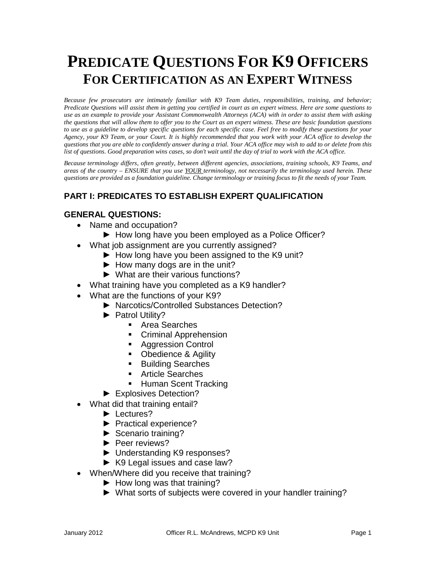# **PREDICATE QUESTIONS FOR K9 OFFICERS FOR CERTIFICATION AS AN EXPERT WITNESS**

*Because few prosecutors are intimately familiar with K9 Team duties, responsibilities, training, and behavior; Predicate Questions will assist them in getting you certified in court as an expert witness. Here are some questions to use as an example to provide your Assistant Commonwealth Attorneys (ACA) with in order to assist them with asking the questions that will allow them to offer you to the Court as an expert witness. These are basic foundation questions to use as a guideline to develop specific questions for each specific case. Feel free to modify these questions for your Agency, your K9 Team, or your Court. It is highly recommended that you work with your ACA office to develop the questions that you are able to confidently answer during a trial. Your ACA office may wish to add to or delete from this list of questions. Good preparation wins cases, so don't wait until the day of trial to work with the ACA office.*

*Because terminology differs, often greatly, between different agencies, associations, training schools, K9 Teams, and areas of the country – ENSURE that you use YOUR terminology, not necessarily the terminology used herein. These questions are provided as a foundation guideline. Change terminology or training focus to fit the needs of your Team.*

# **PART I: PREDICATES TO ESTABLISH EXPERT QUALIFICATION**

#### **GENERAL QUESTIONS:**

- Name and occupation?
	- ► How long have you been employed as a Police Officer?
- What job assignment are you currently assigned?
	- ► How long have you been assigned to the K9 unit?
	- $\blacktriangleright$  How many dogs are in the unit?
	- ► What are their various functions?
- What training have you completed as a K9 handler?
- What are the functions of your K9?
	- ► Narcotics/Controlled Substances Detection?
	- ► Patrol Utility?
		- Area Searches
		- **Criminal Apprehension**
		- **Aggression Control**
		- Obedience & Agility
		- **Building Searches**
		- Article Searches
		- **Human Scent Tracking**
	- ► Explosives Detection?
- What did that training entail?
	- ► Lectures?
	- ► Practical experience?
	- ► Scenario training?
	- ► Peer reviews?
	- ► Understanding K9 responses?
	- ► K9 Legal issues and case law?
- When/Where did you receive that training?
	- ► How long was that training?
	- ► What sorts of subjects were covered in your handler training?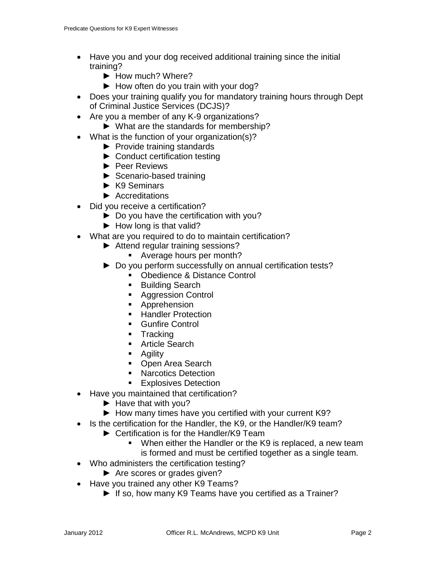- Have you and your dog received additional training since the initial training?
	- ► How much? Where?
	- ► How often do you train with your dog?
- Does your training qualify you for mandatory training hours through Dept of Criminal Justice Services (DCJS)?
- Are you a member of any K-9 organizations?
	- ► What are the standards for membership?
- What is the function of your organization(s)?
	- ► Provide training standards
	- ► Conduct certification testing
	- ► Peer Reviews
	- ► Scenario-based training
	- ► K9 Seminars
	- ► Accreditations
- Did you receive a certification?
	- ► Do you have the certification with you?
	- $\blacktriangleright$  How long is that valid?
- What are you required to do to maintain certification?
	- ► Attend regular training sessions?
		- Average hours per month?
	- ► Do you perform successfully on annual certification tests?
		- **Distance Control**
		- Building Search
		- Aggression Control
		- **Apprehension**
		- **Handler Protection**
		- Gunfire Control
		- **Tracking**
		- **Article Search**
		- **Agility**
		- Open Area Search
		- **Narcotics Detection**
		- **Explosives Detection**
- Have you maintained that certification?
	- ► Have that with you?
	- ► How many times have you certified with your current K9?
- Is the certification for the Handler, the K9, or the Handler/K9 team?
	- ► Certification is for the Handler/K9 Team
		- When either the Handler or the K9 is replaced, a new team is formed and must be certified together as a single team.
- Who administers the certification testing?
	- ► Are scores or grades given?
- Have you trained any other K9 Teams?
	- ► If so, how many K9 Teams have you certified as a Trainer?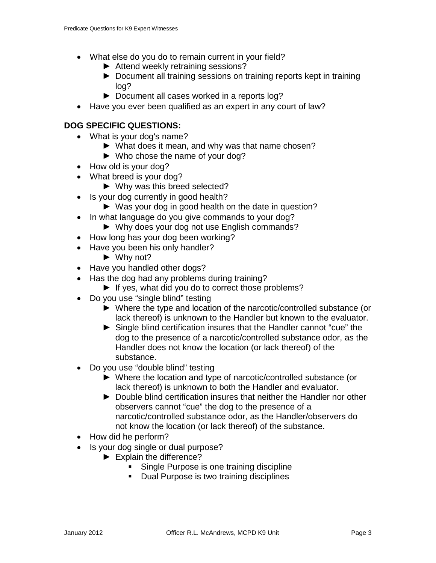- What else do you do to remain current in your field?
	- ► Attend weekly retraining sessions?
	- ► Document all training sessions on training reports kept in training log?
	- ► Document all cases worked in a reports log?
- Have you ever been qualified as an expert in any court of law?

### **DOG SPECIFIC QUESTIONS:**

- What is your dog's name?
	- ► What does it mean, and why was that name chosen?
	- ► Who chose the name of your dog?
- How old is your dog?
- What breed is your dog?
	- ► Why was this breed selected?
- Is your dog currently in good health?
	- ► Was your dog in good health on the date in question?
- In what language do you give commands to your dog?
	- ► Why does your dog not use English commands?
- How long has your dog been working?
- Have you been his only handler?
	- ► Why not?
- Have you handled other dogs?
- Has the dog had any problems during training?
	- ► If yes, what did you do to correct those problems?
- Do you use "single blind" testing
	- ► Where the type and location of the narcotic/controlled substance (or lack thereof) is unknown to the Handler but known to the evaluator.
	- ► Single blind certification insures that the Handler cannot "cue" the dog to the presence of a narcotic/controlled substance odor, as the Handler does not know the location (or lack thereof) of the substance.
- Do you use "double blind" testing
	- ► Where the location and type of narcotic/controlled substance (or lack thereof) is unknown to both the Handler and evaluator.
	- ► Double blind certification insures that neither the Handler nor other observers cannot "cue" the dog to the presence of a narcotic/controlled substance odor, as the Handler/observers do not know the location (or lack thereof) of the substance.
- How did he perform?
- Is your dog single or dual purpose?
	- ► Explain the difference?
		- **Single Purpose is one training discipline**
		- **Dual Purpose is two training disciplines**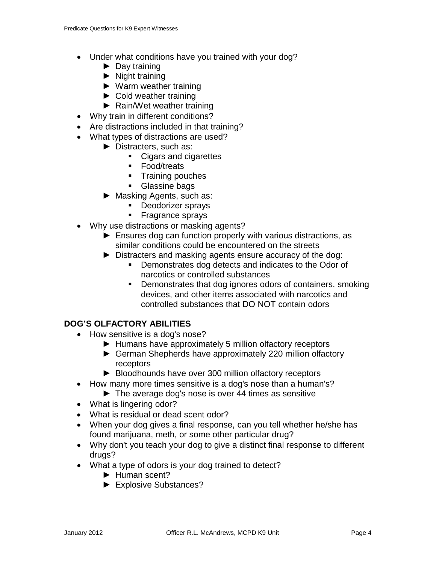- Under what conditions have you trained with your dog?
	- ► Day training
	- $\blacktriangleright$  Night training
	- ► Warm weather training
	- ► Cold weather training
	- ► Rain/Wet weather training
- Why train in different conditions?
- Are distractions included in that training?
- What types of distractions are used?
	- ► Distracters, such as:
		- Cigars and cigarettes
		- **Food/treats**
		- **Training pouches**
		- **Glassine bags**
	- ► Masking Agents, such as:
		- **Deodorizer sprays**
		- **Fragrance sprays**
- Why use distractions or masking agents?
	- ► Ensures dog can function properly with various distractions, as similar conditions could be encountered on the streets
	- ► Distracters and masking agents ensure accuracy of the dog:
		- Demonstrates dog detects and indicates to the Odor of narcotics or controlled substances
		- **Demonstrates that dog ignores odors of containers, smoking** devices, and other items associated with narcotics and controlled substances that DO NOT contain odors

## **DOG'S OLFACTORY ABILITIES**

- How sensitive is a dog's nose?
	- ► Humans have approximately 5 million olfactory receptors
	- ► German Shepherds have approximately 220 million olfactory receptors
	- ► Bloodhounds have over 300 million olfactory receptors
- How many more times sensitive is a dog's nose than a human's?
	- ► The average dog's nose is over 44 times as sensitive
- What is lingering odor?
- What is residual or dead scent odor?
- When your dog gives a final response, can you tell whether he/she has found marijuana, meth, or some other particular drug?
- Why don't you teach your dog to give a distinct final response to different drugs?
- What a type of odors is your dog trained to detect?
	- ► Human scent?
	- ► Explosive Substances?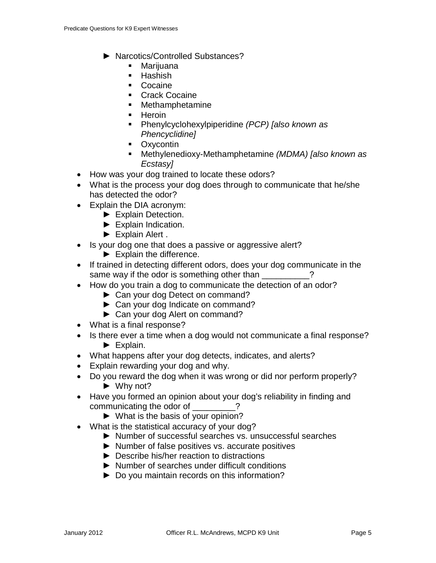- ► Narcotics/Controlled Substances?
	- **•** Marijuana
	- $\blacksquare$  Hashish
	- Cocaine
	- **Crack Cocaine**
	- Methamphetamine
	- **Heroin**
	- Phenylcyclohexylpiperidine *(PCP) [also known as Phencyclidine]*
	- **•** Oxycontin
	- Methylenedioxy-Methamphetamine *(MDMA) [also known as Ecstasy]*
- How was your dog trained to locate these odors?
- What is the process your dog does through to communicate that he/she has detected the odor?
- Explain the DIA acronym:
	- ► Explain Detection.
	- ► Explain Indication.
	- ► Explain Alert .
- Is your dog one that does a passive or aggressive alert?
	- ► Explain the difference.
- If trained in detecting different odors, does your dog communicate in the same way if the odor is something other than  $\cdot$  ?
- How do you train a dog to communicate the detection of an odor?
	- ► Can your dog Detect on command?
	- ► Can your dog Indicate on command?
	- ► Can your dog Alert on command?
- What is a final response?
- Is there ever a time when a dog would not communicate a final response? ► Explain.
- What happens after your dog detects, indicates, and alerts?
- Explain rewarding your dog and why.
- Do you reward the dog when it was wrong or did nor perform properly?  $\blacktriangleright$  Why not?
- Have you formed an opinion about your dog's reliability in finding and communicating the odor of \_\_\_\_\_\_\_\_?
	- ► What is the basis of your opinion?
- What is the statistical accuracy of your dog?
	- ► Number of successful searches vs. unsuccessful searches
	- ► Number of false positives vs. accurate positives
	- ► Describe his/her reaction to distractions
	- ► Number of searches under difficult conditions
	- ► Do you maintain records on this information?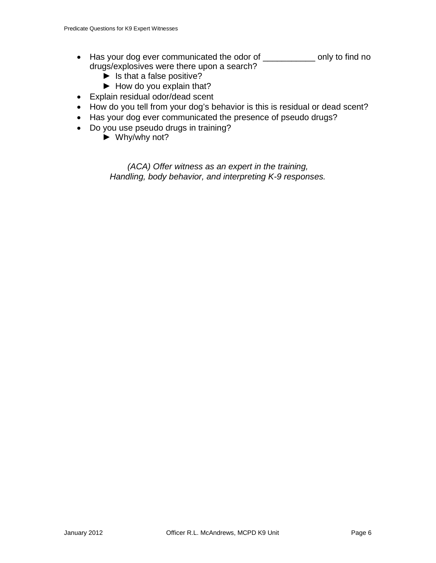- Has your dog ever communicated the odor of \_\_\_\_\_\_\_\_\_\_\_ only to find no drugs/explosives were there upon a search?
	- ► Is that a false positive?
	- ► How do you explain that?
- Explain residual odor/dead scent
- How do you tell from your dog's behavior is this is residual or dead scent?
- Has your dog ever communicated the presence of pseudo drugs?
- Do you use pseudo drugs in training?
	- $\blacktriangleright$  Why/why not?

*(ACA) Offer witness as an expert in the training, Handling, body behavior, and interpreting K-9 responses.*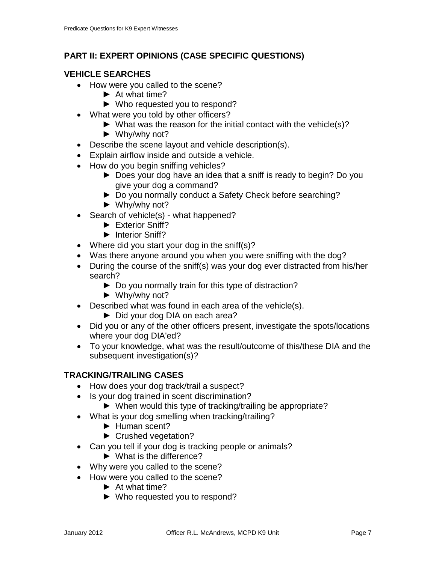# **PART II: EXPERT OPINIONS (CASE SPECIFIC QUESTIONS)**

## **VEHICLE SEARCHES**

- How were you called to the scene?
	- ► At what time?
	- ► Who requested you to respond?
- What were you told by other officers?
	- ► What was the reason for the initial contact with the vehicle(s)?
	- ► Why/why not?
- Describe the scene layout and vehicle description(s).
- Explain airflow inside and outside a vehicle.
- How do you begin sniffing vehicles?
	- ► Does your dog have an idea that a sniff is ready to begin? Do you give your dog a command?
	- ► Do you normally conduct a Safety Check before searching?
	- ► Why/why not?
- Search of vehicle(s) what happened?
	- ► Exterior Sniff?
	- ► Interior Sniff?
- Where did you start your dog in the sniff(s)?
- Was there anyone around you when you were sniffing with the dog?
- During the course of the sniff(s) was your dog ever distracted from his/her search?
	- ► Do you normally train for this type of distraction?
	- ► Why/why not?
- Described what was found in each area of the vehicle(s).
	- ► Did your dog DIA on each area?
- Did you or any of the other officers present, investigate the spots/locations where your dog DIA'ed?
- To your knowledge, what was the result/outcome of this/these DIA and the subsequent investigation(s)?

## **TRACKING/TRAILING CASES**

- How does your dog track/trail a suspect?
- Is your dog trained in scent discrimination?
	- ► When would this type of tracking/trailing be appropriate?
- What is your dog smelling when tracking/trailing?
	- ► Human scent?
	- ► Crushed vegetation?
- Can you tell if your dog is tracking people or animals?
	- ► What is the difference?
- Why were you called to the scene?
- How were you called to the scene?
	- ► At what time?
	- ► Who requested you to respond?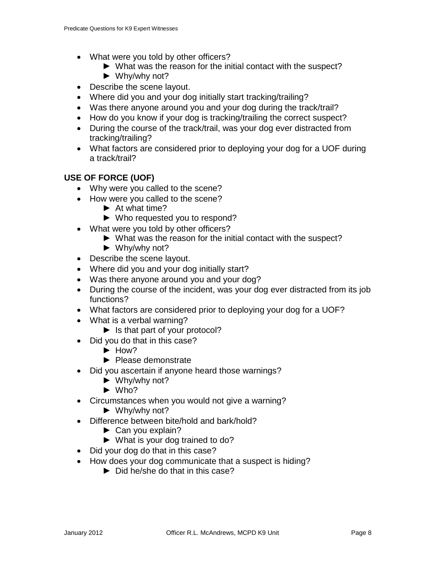- What were you told by other officers?
	- ► What was the reason for the initial contact with the suspect?
	- ► Why/why not?
- Describe the scene layout.
- Where did you and your dog initially start tracking/trailing?
- Was there anyone around you and your dog during the track/trail?
- How do you know if your dog is tracking/trailing the correct suspect?
- During the course of the track/trail, was your dog ever distracted from tracking/trailing?
- What factors are considered prior to deploying your dog for a UOF during a track/trail?

### **USE OF FORCE (UOF)**

- Why were you called to the scene?
- How were you called to the scene?
	- ► At what time?
		- ► Who requested you to respond?
- What were you told by other officers?
	- ► What was the reason for the initial contact with the suspect?
	- $\blacktriangleright$  Why/why not?
- Describe the scene layout.
- Where did you and your dog initially start?
- Was there anyone around you and your dog?
- During the course of the incident, was your dog ever distracted from its job functions?
- What factors are considered prior to deploying your dog for a UOF?
- What is a verbal warning?
	- ► Is that part of your protocol?
- Did you do that in this case?
	- ► How?
	- ► Please demonstrate
- Did you ascertain if anyone heard those warnings?
	- ► Why/why not?
	- $\blacktriangleright$  Who?
- Circumstances when you would not give a warning?
	- ► Why/why not?
- Difference between bite/hold and bark/hold?
	- ► Can you explain?
	- ► What is your dog trained to do?
- Did your dog do that in this case?
- How does your dog communicate that a suspect is hiding?
	- ► Did he/she do that in this case?